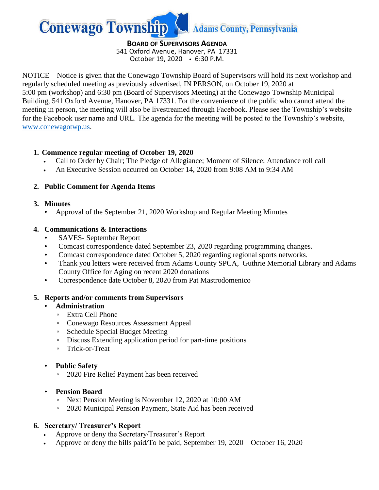

**BOARD OF SUPERVISORS AGENDA** 541 Oxford Avenue, Hanover, PA 17331 October 19, 2020 6:30 P.M.

NOTICE—Notice is given that the Conewago Township Board of Supervisors will hold its next workshop and regularly scheduled meeting as previously advertised, IN PERSON, on October 19, 2020 at 5:00 pm (workshop) and 6:30 pm (Board of Supervisors Meeting) at the Conewago Township Municipal Building, 541 Oxford Avenue, Hanover, PA 17331. For the convenience of the public who cannot attend the meeting in person, the meeting will also be livestreamed through Facebook. Please see the Township's website for the Facebook user name and URL. The agenda for the meeting will be posted to the Township's website, [www.conewagotwp.us.](http://www.conewagotwp.us/)

# **1. Commence regular meeting of October 19, 2020**

- Call to Order by Chair; The Pledge of Allegiance; Moment of Silence; Attendance roll call
- An Executive Session occurred on October 14, 2020 from 9:08 AM to 9:34 AM

# **2. Public Comment for Agenda Items**

# **3. Minutes**

• Approval of the September 21, 2020 Workshop and Regular Meeting Minutes

# **4. Communications & Interactions**

- SAVES- September Report
- Comcast correspondence dated September 23, 2020 regarding programming changes.
- Comcast correspondence dated October 5, 2020 regarding regional sports networks.
- Thank you letters were received from Adams County SPCA, Guthrie Memorial Library and Adams County Office for Aging on recent 2020 donations
- Correspondence date October 8, 2020 from Pat Mastrodomenico

# **5. Reports and/or comments from Supervisors**

- **Administration** 
	- Extra Cell Phone
	- Conewago Resources Assessment Appeal
	- Schedule Special Budget Meeting
	- Discuss Extending application period for part-time positions
	- Trick-or-Treat

# • **Public Safety**

◦ 2020 Fire Relief Payment has been received

# • **Pension Board**

- Next Pension Meeting is November 12, 2020 at 10:00 AM
- 2020 Municipal Pension Payment, State Aid has been received

# **6. Secretary/ Treasurer's Report**

- Approve or deny the Secretary/Treasurer's Report
- Approve or deny the bills paid/To be paid, September 19, 2020 October 16, 2020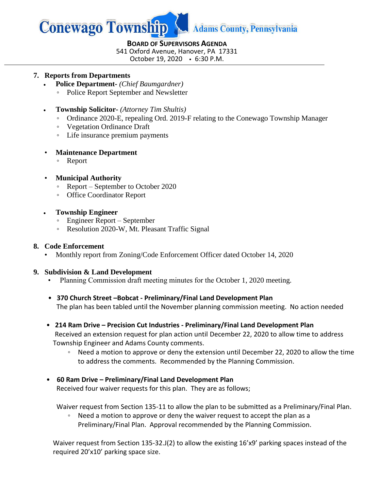

#### **BOARD OF SUPERVISORS AGENDA**

541 Oxford Avenue, Hanover, PA 17331

October 19, 2020 6:30 P.M.

#### **7. Reports from Departments**

- **Police Department-** *(Chief Baumgardner)*
	- Police Report September and Newsletter
- **Township Solicitor-** *(Attorney Tim Shultis)*
	- Ordinance 2020-E, repealing Ord. 2019-F relating to the Conewago Township Manager
	- Vegetation Ordinance Draft
	- Life insurance premium payments

#### • **Maintenance Department**

- Report
- **Municipal Authority**
	- Report September to October 2020
	- Office Coordinator Report
- **Township Engineer**
	- Engineer Report September
	- Resolution 2020-W, Mt. Pleasant Traffic Signal

### **8. Code Enforcement**

• Monthly report from Zoning/Code Enforcement Officer dated October 14, 2020

# **9. Subdivision & Land Development**

- Planning Commission draft meeting minutes for the October 1, 2020 meeting.
- **370 Church Street –Bobcat - Preliminary/Final Land Development Plan** The plan has been tabled until the November planning commission meeting. No action needed
- **214 Ram Drive – Precision Cut Industries - Preliminary/Final Land Development Plan** Received an extension request for plan action until December 22, 2020 to allow time to address Township Engineer and Adams County comments.
	- Need a motion to approve or deny the extension until December 22, 2020 to allow the time to address the comments. Recommended by the Planning Commission.
- **60 Ram Drive – Preliminary/Final Land Development Plan** Received four waiver requests for this plan. They are as follows;

Waiver request from Section 135-11 to allow the plan to be submitted as a Preliminary/Final Plan.

◦ Need a motion to approve or deny the waiver request to accept the plan as a Preliminary/Final Plan. Approval recommended by the Planning Commission.

Waiver request from Section 135-32.J(2) to allow the existing 16'x9' parking spaces instead of the required 20'x10' parking space size.